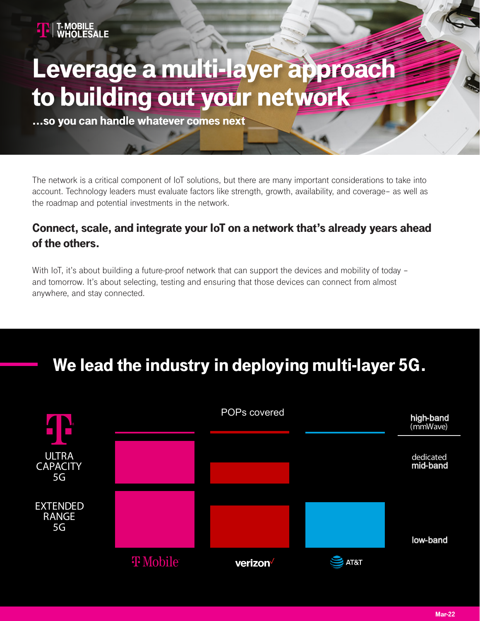

# Leverage a multi-layer approach to building out your network

...so you can handle whatever comes next

The network is a critical component of IoT solutions, but there are many important considerations to take into account. Technology leaders must evaluate factors like strength, growth, availability, and coverage– as well as the roadmap and potential investments in the network.

#### Connect, scale, and integrate your IoT on a network that's already years ahead of the others.

With IoT, it's about building a future-proof network that can support the devices and mobility of today – and tomorrow. It's about selecting, testing and ensuring that those devices can connect from almost anywhere, and stay connected.

## We lead the industry in deploying multi-layer 5G.

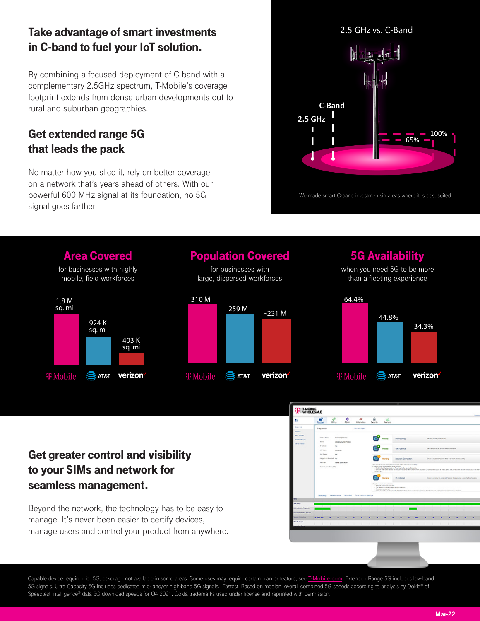#### Take advantage of smart investments in C-band to fuel your IoT solution.

By combining a focused deployment of C-band with a complementary 2.5GHz spectrum, T-Mobile's coverage footprint extends from dense urban developments out to rural and suburban geographies.

#### Get extended range 5G that leads the pack

No matter how you slice it, rely on better coverage<br>on a network that's years ahead of others. With our on a network that's years ahead of others. With our powerful 600 MHz signal at its foundation, no 5G signal goes farther.





Capable device required for 5G; coverage not available in some areas. Some uses may require certain plan or feature; see T-Mobile.com. 5G Availability: Based on analysis by Ookla® of Speedtest Intelligence@ data as reported on water-analysisfor Q3 2021. Ook la trademarks under license and reprinted with permission of Q3 2021. Ook la trademarks used under license and reprinted with permission. In the pe

T MOBILE

æl

. . . . . . . . . . . . . . . .

Capable device required for 5G; coverage not available in some areas. Some uses may require certain plan or feature; see T-Mobile.com. 5G Availability: Based on analysis by Ookla® of Speedtest Intelligence@ data as reported on www.speedtest.net/global-index/united-states under license and reprinted with permission. On the permission of the permission of the permission and reprinted with permission. In  $C^2$  coverage not available in some areas. Some areas. Some areas. Some areas. Some areas. Some areas. Some areas. Some areas. Some areas. Some areas. Some areas. Some areas. Some areas. Some areas. Some areas. Some area Speedtest Intelligence® data as reported on www.speedtest.net/global-index/united-states under license and reprinted with permission. On the permission of the permission and reprinted with permission. In the permission of

#### Get greater control and visibility to your SIMs and network for seamless management.

Beyond the network, the technology has to be easy to manage. It's never been easier to certify devices, manage users and control your product from anywhere.

Capable device required for 5G; coverage not available in some areas. Some uses may require certain plan or feature; see [T-Mobile.com](http://t-mobile.com/). Extended Range 5G includes low-band 5G signals. Ultra Capacity 5G includes dedicated mid- and/or high-band 5G signals. Fastest: Based on median, overall combined 5G speeds according to analysis by Ookla® of Speedtest Intelligence® data 5G download speeds for Q4 2021. Ookla trademarks used under license and reprinted with permission.